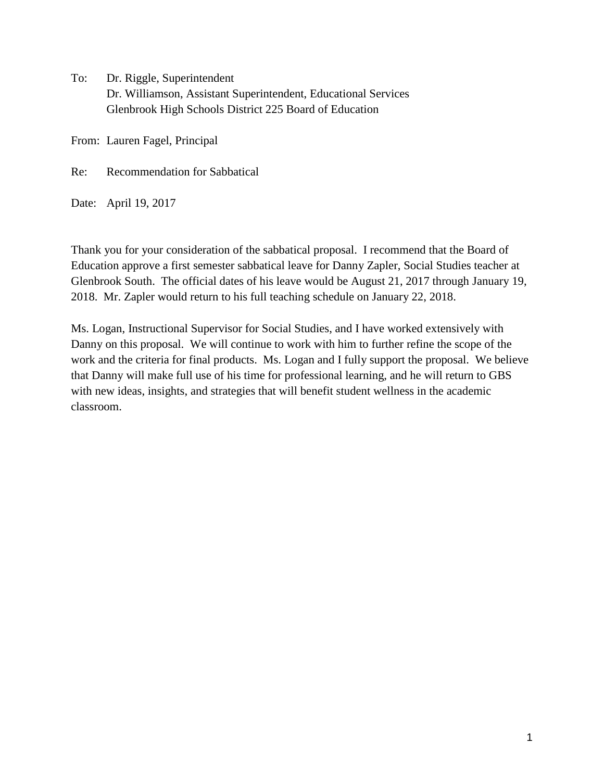To: Dr. Riggle, Superintendent Dr. Williamson, Assistant Superintendent, Educational Services Glenbrook High Schools District 225 Board of Education

From: Lauren Fagel, Principal

Re: Recommendation for Sabbatical

Date: April 19, 2017

Thank you for your consideration of the sabbatical proposal. I recommend that the Board of Education approve a first semester sabbatical leave for Danny Zapler, Social Studies teacher at Glenbrook South. The official dates of his leave would be August 21, 2017 through January 19, 2018. Mr. Zapler would return to his full teaching schedule on January 22, 2018.

Ms. Logan, Instructional Supervisor for Social Studies, and I have worked extensively with Danny on this proposal. We will continue to work with him to further refine the scope of the work and the criteria for final products. Ms. Logan and I fully support the proposal. We believe that Danny will make full use of his time for professional learning, and he will return to GBS with new ideas, insights, and strategies that will benefit student wellness in the academic classroom.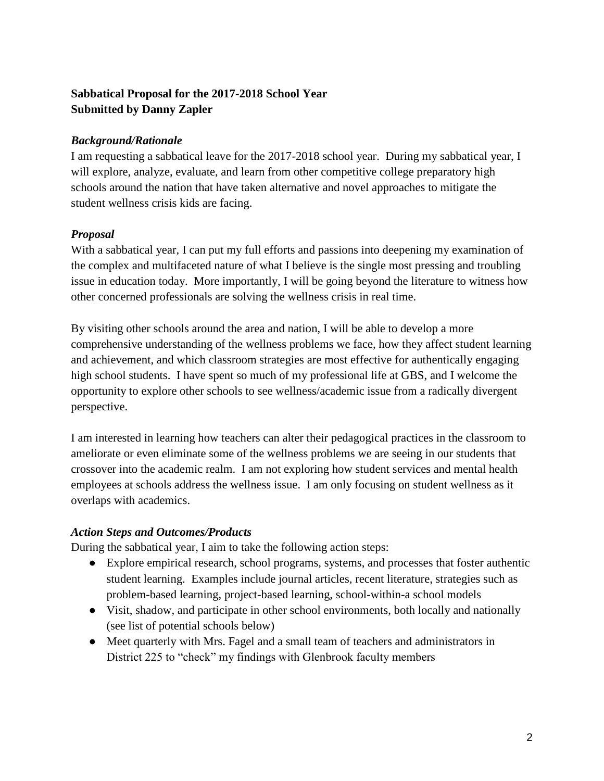# **Sabbatical Proposal for the 2017-2018 School Year Submitted by Danny Zapler**

## *Background/Rationale*

I am requesting a sabbatical leave for the 2017-2018 school year. During my sabbatical year, I will explore, analyze, evaluate, and learn from other competitive college preparatory high schools around the nation that have taken alternative and novel approaches to mitigate the student wellness crisis kids are facing.

## *Proposal*

With a sabbatical year, I can put my full efforts and passions into deepening my examination of the complex and multifaceted nature of what I believe is the single most pressing and troubling issue in education today. More importantly, I will be going beyond the literature to witness how other concerned professionals are solving the wellness crisis in real time.

By visiting other schools around the area and nation, I will be able to develop a more comprehensive understanding of the wellness problems we face, how they affect student learning and achievement, and which classroom strategies are most effective for authentically engaging high school students. I have spent so much of my professional life at GBS, and I welcome the opportunity to explore other schools to see wellness/academic issue from a radically divergent perspective.

I am interested in learning how teachers can alter their pedagogical practices in the classroom to ameliorate or even eliminate some of the wellness problems we are seeing in our students that crossover into the academic realm. I am not exploring how student services and mental health employees at schools address the wellness issue. I am only focusing on student wellness as it overlaps with academics.

### *Action Steps and Outcomes/Products*

During the sabbatical year, I aim to take the following action steps:

- Explore empirical research, school programs, systems, and processes that foster authentic student learning. Examples include journal articles, recent literature, strategies such as problem-based learning, project-based learning, school-within-a school models
- Visit, shadow, and participate in other school environments, both locally and nationally (see list of potential schools below)
- Meet quarterly with Mrs. Fagel and a small team of teachers and administrators in District 225 to "check" my findings with Glenbrook faculty members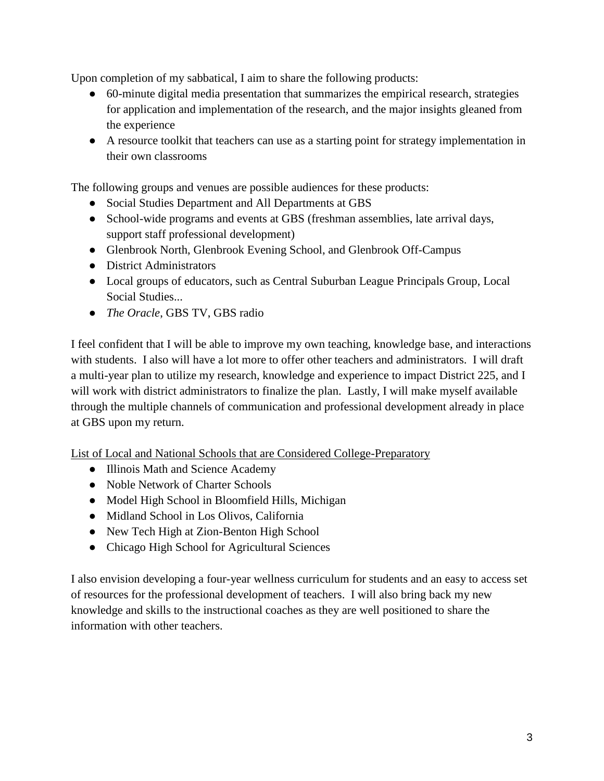Upon completion of my sabbatical, I aim to share the following products:

- 60-minute digital media presentation that summarizes the empirical research, strategies for application and implementation of the research, and the major insights gleaned from the experience
- A resource toolkit that teachers can use as a starting point for strategy implementation in their own classrooms

The following groups and venues are possible audiences for these products:

- Social Studies Department and All Departments at GBS
- School-wide programs and events at GBS (freshman assemblies, late arrival days, support staff professional development)
- Glenbrook North, Glenbrook Evening School, and Glenbrook Off-Campus
- District Administrators
- Local groups of educators, such as Central Suburban League Principals Group, Local Social Studies...
- *The Oracle*, GBS TV, GBS radio

I feel confident that I will be able to improve my own teaching, knowledge base, and interactions with students. I also will have a lot more to offer other teachers and administrators. I will draft a multi-year plan to utilize my research, knowledge and experience to impact District 225, and I will work with district administrators to finalize the plan. Lastly, I will make myself available through the multiple channels of communication and professional development already in place at GBS upon my return.

List of Local and National Schools that are Considered College-Preparatory

- Illinois Math and Science Academy
- Noble Network of Charter Schools
- Model High School in Bloomfield Hills, Michigan
- Midland School in Los Olivos, California
- New Tech High at Zion-Benton High School
- Chicago High School for Agricultural Sciences

I also envision developing a four-year wellness curriculum for students and an easy to access set of resources for the professional development of teachers. I will also bring back my new knowledge and skills to the instructional coaches as they are well positioned to share the information with other teachers.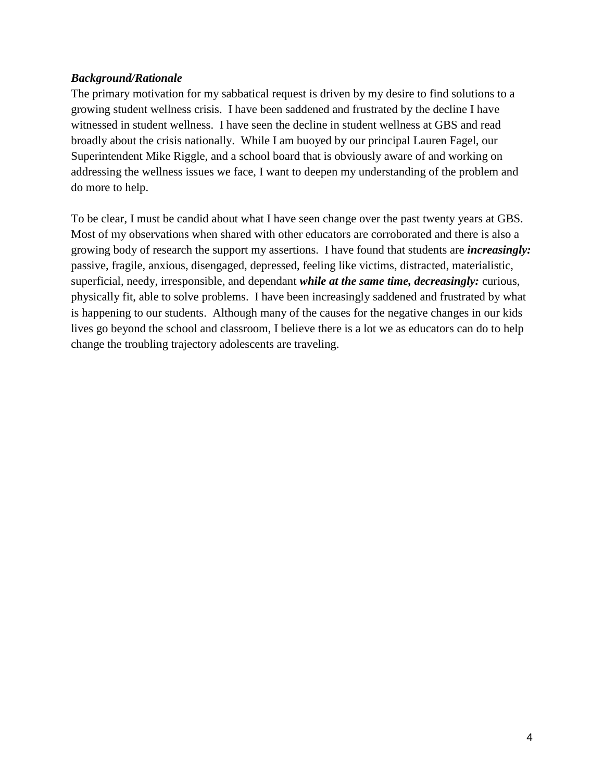#### *Background/Rationale*

The primary motivation for my sabbatical request is driven by my desire to find solutions to a growing student wellness crisis. I have been saddened and frustrated by the decline I have witnessed in student wellness. I have seen the decline in student wellness at GBS and read broadly about the crisis nationally. While I am buoyed by our principal Lauren Fagel, our Superintendent Mike Riggle, and a school board that is obviously aware of and working on addressing the wellness issues we face, I want to deepen my understanding of the problem and do more to help.

To be clear, I must be candid about what I have seen change over the past twenty years at GBS. Most of my observations when shared with other educators are corroborated and there is also a growing body of research the support my assertions. I have found that students are *increasingly:*  passive, fragile, anxious, disengaged, depressed, feeling like victims, distracted, materialistic, superficial, needy, irresponsible, and dependant *while at the same time, decreasingly:* curious, physically fit, able to solve problems. I have been increasingly saddened and frustrated by what is happening to our students. Although many of the causes for the negative changes in our kids lives go beyond the school and classroom, I believe there is a lot we as educators can do to help change the troubling trajectory adolescents are traveling.